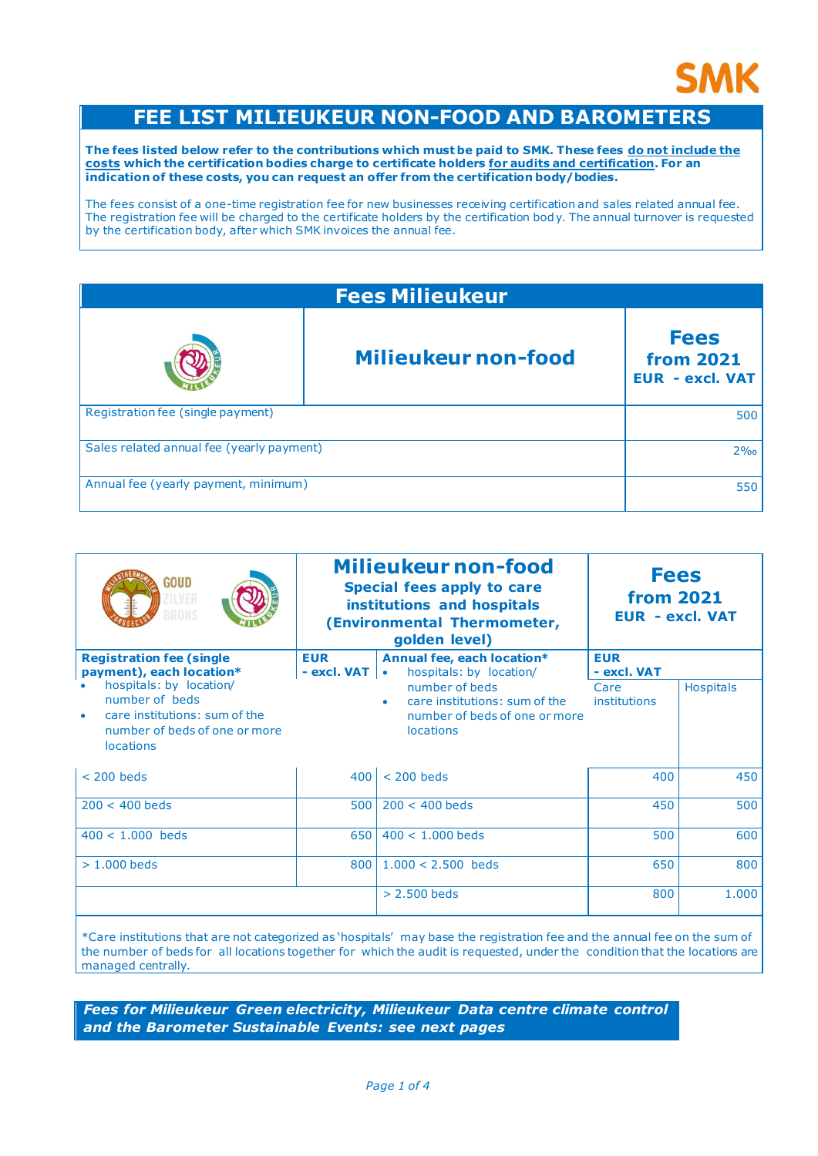

# **FEE LIST MILIEUKEUR NON-FOOD AND BAROMETERS**

**The fees listed below refer to the contributions which must be paid to SMK. These fees do not include the costs which the certification bodies charge to certificate holders for audits and certification. For an indication of these costs, you can request an offer from the certification body/bodies.** 

The fees consist of a one-time registration fee for new businesses receiving certification and sales related annual fee. The registration fee will be charged to the certificate holders by the certification body. The annual turnover is requested by the certification body, after which SMK invoices the annual fee.

| <b>Fees Milieukeur</b>                    |                            |                                                           |  |
|-------------------------------------------|----------------------------|-----------------------------------------------------------|--|
|                                           | <b>Milieukeur non-food</b> | <b>Fees</b><br><b>from 2021</b><br><b>EUR - excl. VAT</b> |  |
| Registration fee (single payment)         |                            | 500                                                       |  |
| Sales related annual fee (yearly payment) |                            | $2\%$                                                     |  |
| Annual fee (yearly payment, minimum)      |                            | 550                                                       |  |

|             |                                                                                                      | <b>Milieukeur non-food</b><br><b>Fees</b><br>Special fees apply to care<br><b>from 2021</b><br>institutions and hospitals<br><b>EUR - excl. VAT</b><br>(Environmental Thermometer,<br>golden level) |                  |
|-------------|------------------------------------------------------------------------------------------------------|-----------------------------------------------------------------------------------------------------------------------------------------------------------------------------------------------------|------------------|
| <b>EUR</b>  | Annual fee, each location*                                                                           | <b>EUR</b>                                                                                                                                                                                          |                  |
|             | number of beds<br>care institutions: sum of the<br>number of beds of one or more<br><b>locations</b> | Care<br>institutions                                                                                                                                                                                | <b>Hospitals</b> |
| $400 \vert$ | $<$ 200 heds                                                                                         | 400                                                                                                                                                                                                 | 450              |
| 500         | $200 < 400$ heds                                                                                     | 450                                                                                                                                                                                                 | 500              |
| 650 l       | $400 < 1.000$ beds                                                                                   | 500                                                                                                                                                                                                 | 600              |
| 800         | $1.000 < 2.500$ beds                                                                                 | 650                                                                                                                                                                                                 | 800              |
|             | $> 2.500$ beds                                                                                       | 800                                                                                                                                                                                                 | 1.000            |
|             |                                                                                                      | hospitals: by location/<br>$-$ excl. VAT $\vert \cdot \vert$                                                                                                                                        | - excl. VAT      |

\*Care institutions that are not categorized as 'hospitals' may base the registration fee and the annual fee on the sum of the number of beds for all locations together for which the audit is requested, under the condition that the locations are managed centrally.

*Fees for Milieukeur Green electricity, Milieukeur Data centre climate control and the Barometer Sustainable Events: see next pages*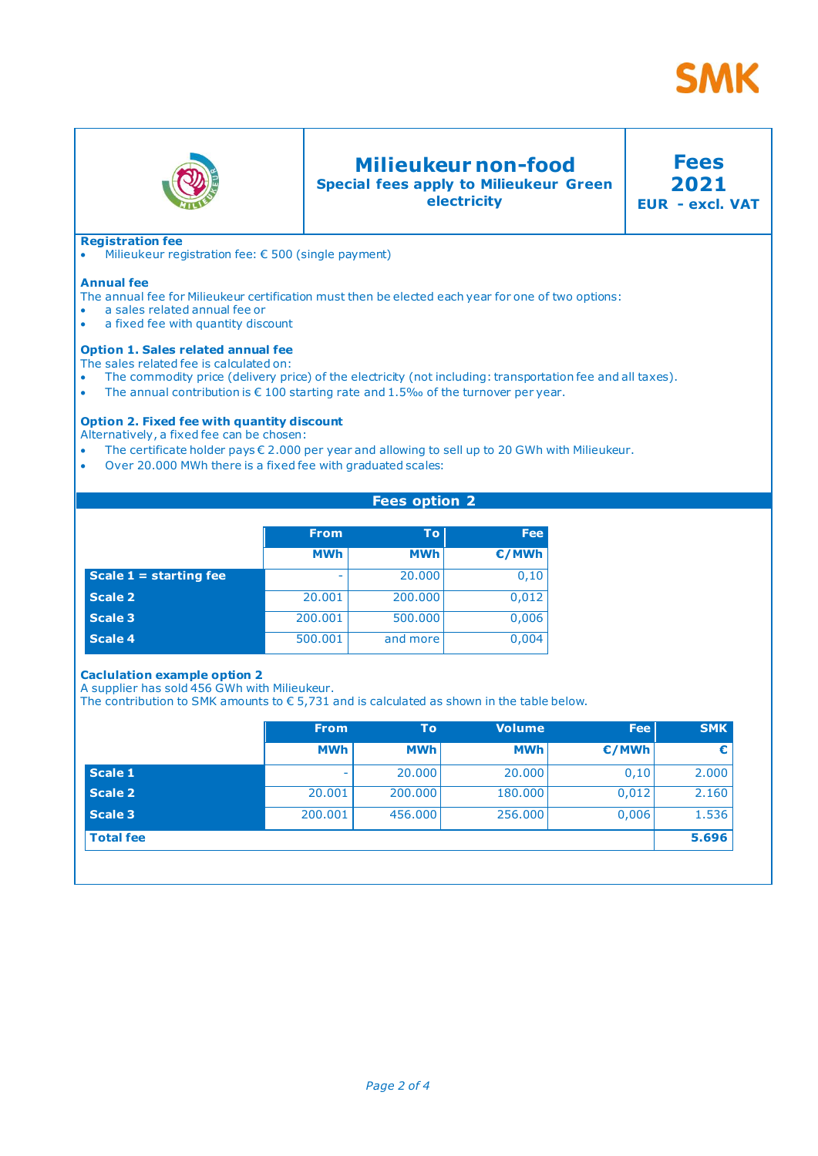



# **Milieukeur non-food**

**Special fees apply to Milieukeur Green electricity**

**2021 EUR - excl. VAT**

**Fees**

# **Registration fee**

• Milieukeur registration fee: € 500 (single payment)

### **Annual fee**

The annual fee for Milieukeur certification must then be elected each year for one of two options:

- a sales related annual fee or
- a fixed fee with quantity discount

#### **Option 1. Sales related annual fee**

The sales related fee is calculated on:

The commodity price (delivery price) of the electricity (not including: transportation fee and all taxes).

**Fees option 2**

• The annual contribution is  $\epsilon$  100 starting rate and 1.5‰ of the turnover per year.

# **Option 2. Fixed fee with quantity discount**

Alternatively, a fixed fee can be chosen:

- The certificate holder pays € 2.000 per year and allowing to sell up to 20 GWh with Milieukeur.
- Over 20.000 MWh there is a fixed fee with graduated scales:

|                          | <b>From</b> | <b>To</b>  | <b>Fee</b> |
|--------------------------|-------------|------------|------------|
|                          | <b>MWh</b>  | <b>MWh</b> | €/MWh      |
| Scale $1 =$ starting fee | -           | 20,000     | 0,10       |
| <b>Scale 2</b>           | 20.001      | 200.000    | 0,012      |
| <b>Scale 3</b>           | 200.001     | 500.000    | 0,006      |
| <b>Scale 4</b>           | 500.001     | and more   | 0,004      |

## **Caclulation example option 2**

A supplier has sold 456 GWh with Milieukeur.

The contribution to SMK amounts to  $\epsilon$  5,731 and is calculated as shown in the table below.

|                  | <b>From</b> | To         | <b>Volume</b> | <b>Fee</b> | <b>SMK</b> |
|------------------|-------------|------------|---------------|------------|------------|
|                  | <b>MWh</b>  | <b>MWh</b> | <b>MWh</b>    | E/MWh      | €          |
| Scale 1          | ۰           | 20,000     | 20,000        | 0,10       | 2.000      |
| Scale 2          | 20,001      | 200,000    | 180.000       | 0,012      | 2.160      |
| Scale 3          | 200.001     | 456,000    | 256,000       | 0,006      | 1.536      |
| <b>Total fee</b> |             |            |               |            | 5.696      |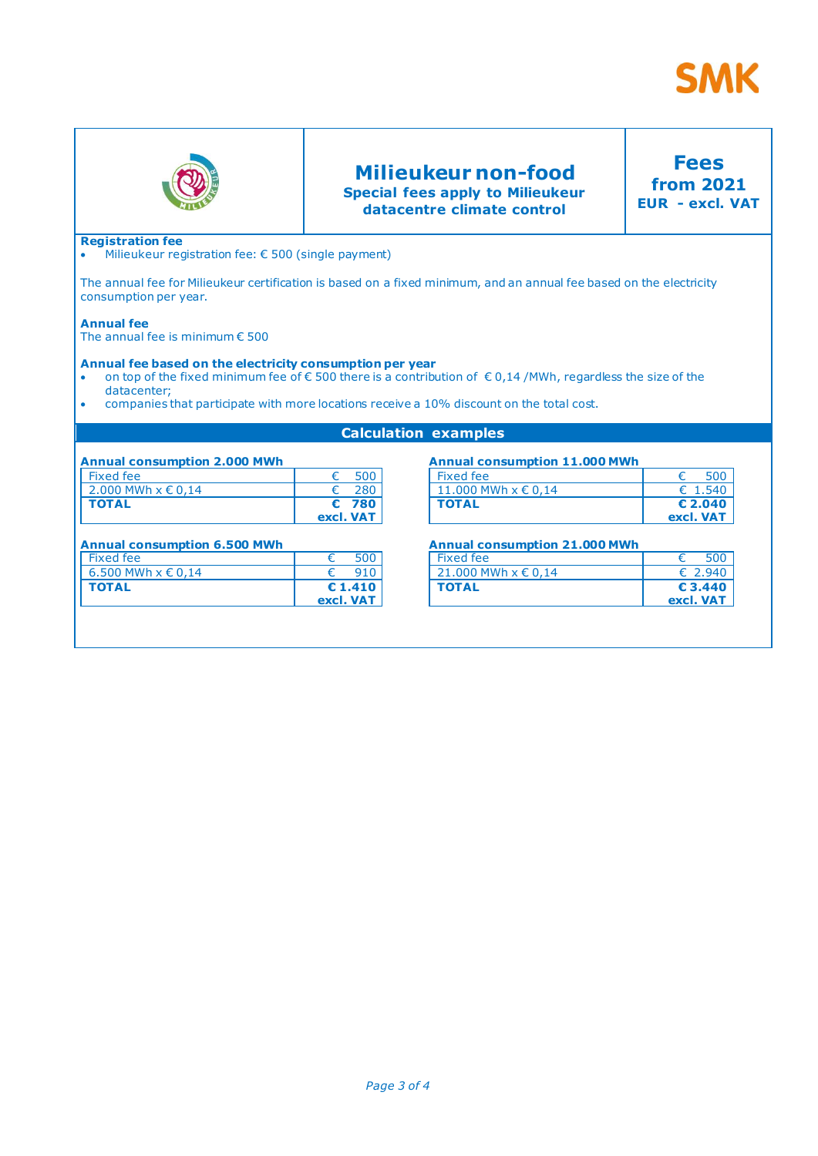



# **Milieukeur non-food Special fees apply to Milieukeur datacentre climate control**

**Fees from 2021 EUR - excl. VAT**

# **Registration fee**

• Milieukeur registration fee: € 500 (single payment)

The annual fee for Milieukeur certification is based on a fixed minimum, and an annual fee based on the electricity consumption per year.

#### **Annual fee**

The annual fee is minimum € 500

# **Annual fee based on the electricity consumption per year**

- on top of the fixed minimum fee of  $\epsilon$  500 there is a contribution of  $\epsilon$  0,14 /MWh, regardless the size of the datacenter;
- companies that participate with more locations receive a 10% discount on the total cost.

## **Calculation examples**

| <b>Annual consumption 2.000 MWh</b> |            |       |
|-------------------------------------|------------|-------|
| Fixed fee                           | €          | -500  |
| 2.000 MWh $x \in 0,14$              | $\epsilon$ | 280   |
| <b>TOTAL</b>                        |            | € 780 |
|                                     | excl. VAT  |       |

#### **Annual consumption 6.500 MWh**

| Fixed fee              | 500                           |  |
|------------------------|-------------------------------|--|
| 6.500 MWh $x \in 0.14$ | 910                           |  |
| <b>TOTAL</b>           | $\epsilon$ 1.410<br>excl. VAT |  |

# **Annual consumption 11.000 MWh**

| Fixed fee               | 500       |
|-------------------------|-----------|
| 11.000 MWh $x \in 0.14$ | € 1.540   |
| <b>TOTAL</b>            | $E$ 2.040 |
|                         | excl. VAT |

## **Annual consumption 21.000 MWh**

| <b>TOTAL</b>            | € 3.440<br>excl. VAT |
|-------------------------|----------------------|
| 21,000 MWh $x \in 0.14$ | € 2.940              |
| Fixed fee               | <b>500</b>           |